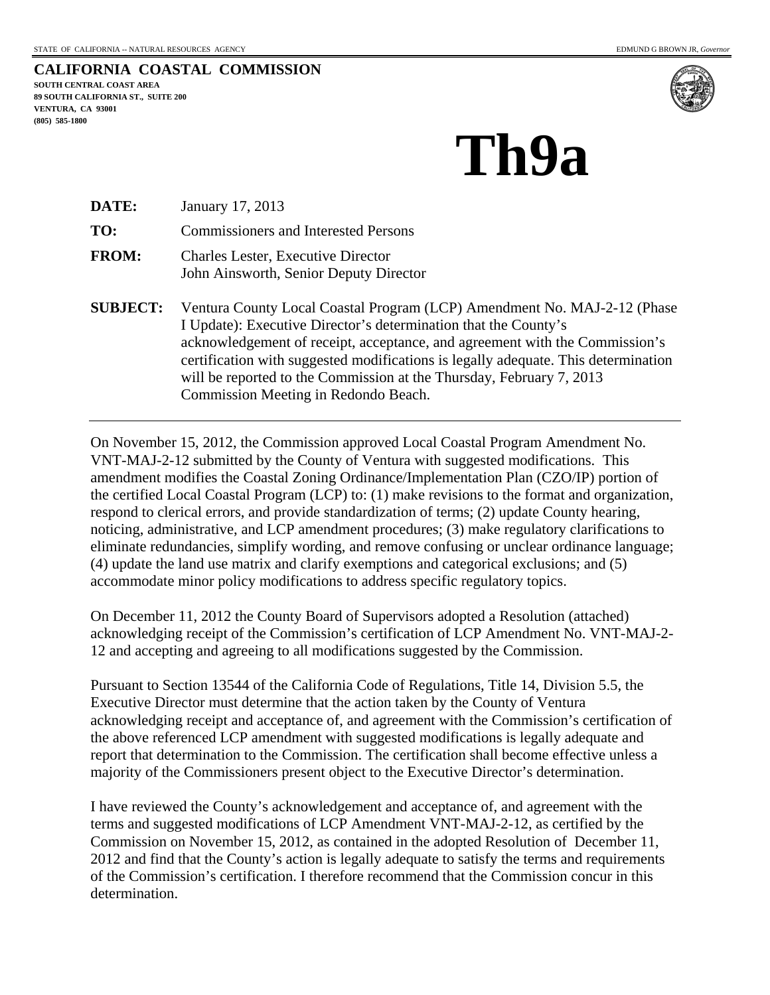**CALIFORNIA COASTAL COMMISSION SOUTH CENTRAL COAST AREA 89 SOUTH CALIFORNIA ST., SUITE 200 VENTURA, CA 93001 (805) 585-1800** 



## **Th9a**

| DATE:        | January 17, 2013                                                                    |
|--------------|-------------------------------------------------------------------------------------|
| TO:          | <b>Commissioners and Interested Persons</b>                                         |
| <b>FROM:</b> | <b>Charles Lester, Executive Director</b><br>John Ainsworth, Senior Deputy Director |

**SUBJECT:** Ventura County Local Coastal Program (LCP) Amendment No. MAJ-2-12 (Phase I Update): Executive Director's determination that the County's acknowledgement of receipt, acceptance, and agreement with the Commission's certification with suggested modifications is legally adequate. This determination will be reported to the Commission at the Thursday, February 7, 2013 Commission Meeting in Redondo Beach.

On November 15, 2012, the Commission approved Local Coastal Program Amendment No. VNT-MAJ-2-12 submitted by the County of Ventura with suggested modifications. This amendment modifies the Coastal Zoning Ordinance/Implementation Plan (CZO/IP) portion of the certified Local Coastal Program (LCP) to: (1) make revisions to the format and organization, respond to clerical errors, and provide standardization of terms; (2) update County hearing, noticing, administrative, and LCP amendment procedures; (3) make regulatory clarifications to eliminate redundancies, simplify wording, and remove confusing or unclear ordinance language; (4) update the land use matrix and clarify exemptions and categorical exclusions; and (5) accommodate minor policy modifications to address specific regulatory topics.

On December 11, 2012 the County Board of Supervisors adopted a Resolution (attached) acknowledging receipt of the Commission's certification of LCP Amendment No. VNT-MAJ-2- 12 and accepting and agreeing to all modifications suggested by the Commission.

Pursuant to Section 13544 of the California Code of Regulations, Title 14, Division 5.5, the Executive Director must determine that the action taken by the County of Ventura acknowledging receipt and acceptance of, and agreement with the Commission's certification of the above referenced LCP amendment with suggested modifications is legally adequate and report that determination to the Commission. The certification shall become effective unless a majority of the Commissioners present object to the Executive Director's determination.

I have reviewed the County's acknowledgement and acceptance of, and agreement with the terms and suggested modifications of LCP Amendment VNT-MAJ-2-12, as certified by the Commission on November 15, 2012, as contained in the adopted Resolution of December 11, 2012 and find that the County's action is legally adequate to satisfy the terms and requirements of the Commission's certification. I therefore recommend that the Commission concur in this determination.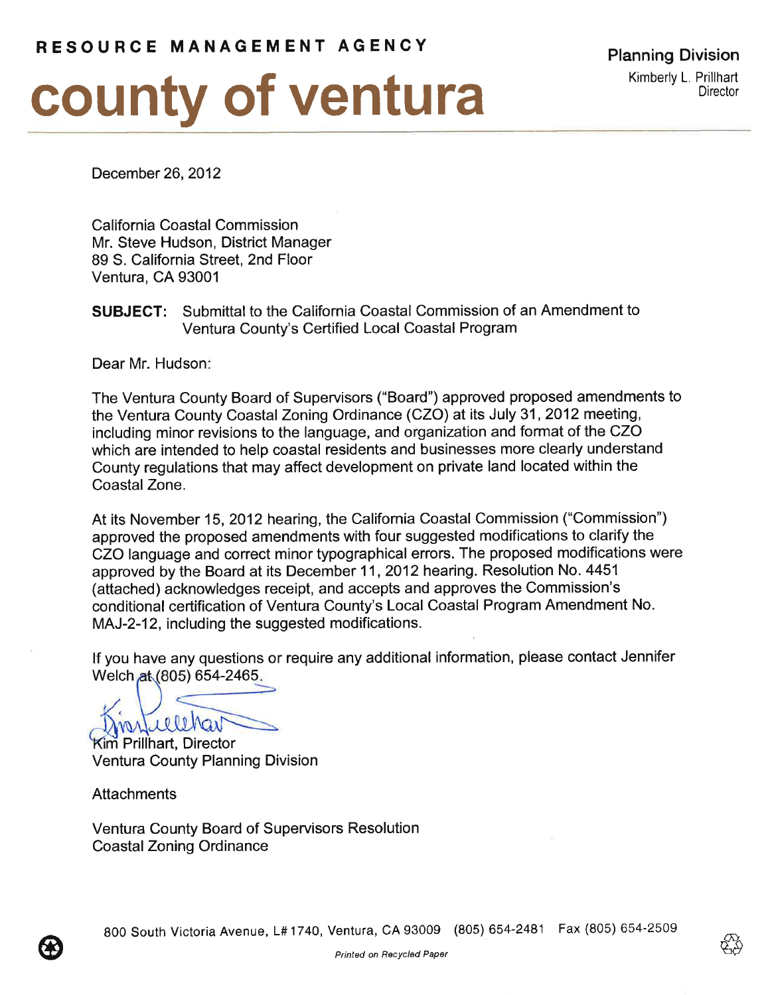# county of ventura

December 26, 2012

California Coastal Commission Mr. Steve Hudson, District Manager 89 S. California Street, 2nd Floor Ventura, CA 93001

### **SUBJECT:** Submittal to the California Coastal Commission of an Amendment to Ventura County's Certified Local Coastal Program

Dear Mr. Hudson:

The Ventura County Board of Supervisors ("Board") approved proposed amendments to the Ventura County Coastal Zoning Ordinance (CZO) at its July 31, 2012 meeting, including minor revisions to the language, and organization and format of the CZO which are intended to help coastal residents and businesses more clearly understand County regulations that may affect development on private land located within the Coastal Zone.

At its November 15, 2012 hearing, the California Coastal Commission ("Commission") approved the proposed amendments with four suggested modifications to clarify the CZO language and correct minor typographical errors. The proposed modifications were approved by the Board at its December 11, 2012 hearing. Resolution No. 4451 (attached) acknowledges receipt, and accepts and approves the Commission's conditional certification of Ventura County's Local Coastal Program Amendment No. MAJ-2-12, including the suggested modifications.

If you have any questions or require any additional information, please contact Jennifer Welch at (805) 654-2465.

**Kim Prillhart, Director** Ventura County Planning Division

**Attachments** 

**Ventura County Board of Supervisors Resolution Coastal Zoning Ordinance**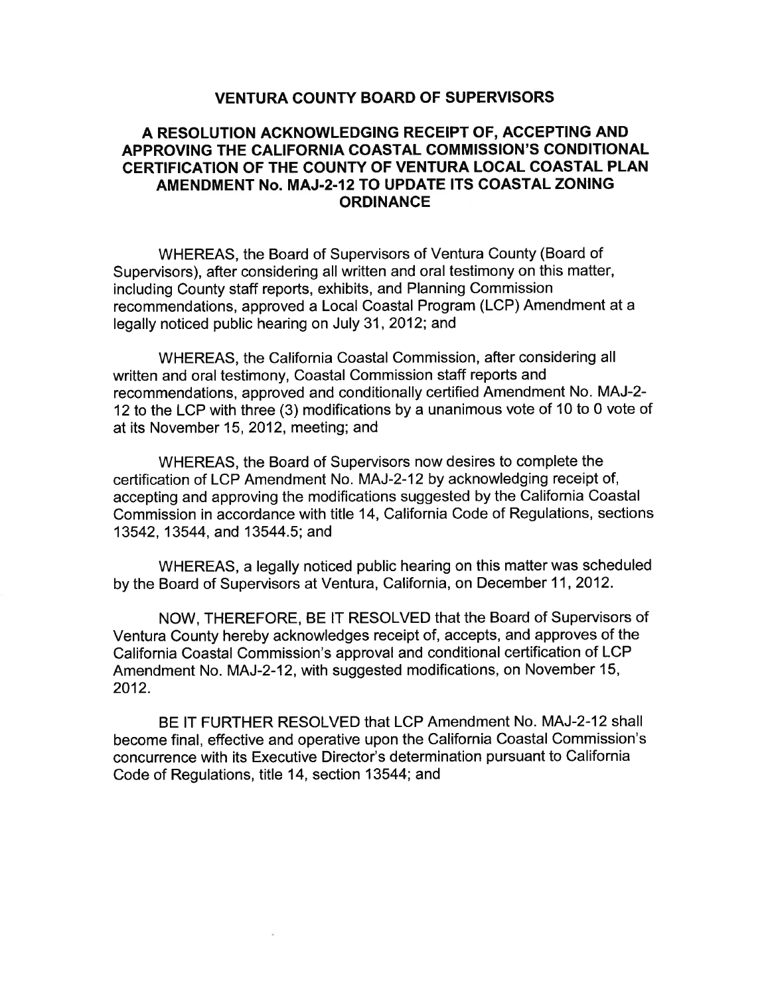#### **VENTURA COUNTY BOARD OF SUPERVISORS**

#### A RESOLUTION ACKNOWLEDGING RECEIPT OF, ACCEPTING AND APPROVING THE CALIFORNIA COASTAL COMMISSION'S CONDITIONAL CERTIFICATION OF THE COUNTY OF VENTURA LOCAL COASTAL PLAN AMENDMENT No. MAJ-2-12 TO UPDATE ITS COASTAL ZONING **ORDINANCE**

WHEREAS, the Board of Supervisors of Ventura County (Board of Supervisors), after considering all written and oral testimony on this matter, including County staff reports, exhibits, and Planning Commission recommendations, approved a Local Coastal Program (LCP) Amendment at a legally noticed public hearing on July 31, 2012; and

WHEREAS, the California Coastal Commission, after considering all written and oral testimony, Coastal Commission staff reports and recommendations, approved and conditionally certified Amendment No. MAJ-2-12 to the LCP with three (3) modifications by a unanimous vote of 10 to 0 vote of at its November 15, 2012, meeting; and

WHEREAS, the Board of Supervisors now desires to complete the certification of LCP Amendment No. MAJ-2-12 by acknowledging receipt of, accepting and approving the modifications suggested by the California Coastal Commission in accordance with title 14, California Code of Regulations, sections 13542, 13544, and 13544.5; and

WHEREAS, a legally noticed public hearing on this matter was scheduled by the Board of Supervisors at Ventura, California, on December 11, 2012.

NOW, THEREFORE, BE IT RESOLVED that the Board of Supervisors of Ventura County hereby acknowledges receipt of, accepts, and approves of the California Coastal Commission's approval and conditional certification of LCP Amendment No. MAJ-2-12, with suggested modifications, on November 15, 2012.

BE IT FURTHER RESOLVED that LCP Amendment No. MAJ-2-12 shall become final, effective and operative upon the California Coastal Commission's concurrence with its Executive Director's determination pursuant to California Code of Regulations, title 14, section 13544; and